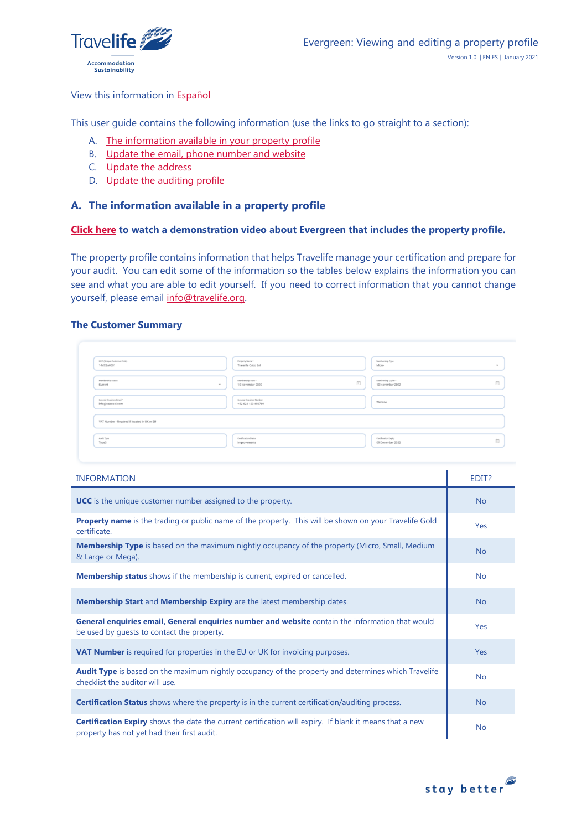

## View this information in [Español](#page-3-0)

This user guide contains the following information (use the links to go straight to a section):

- A. [The information available in your property profile](#page-0-0)
- B. [Update the email, phone number and website](#page-1-0)
- C. [Update the address](#page-2-0)
- D. [Update the auditing profile](#page-2-1)

# <span id="page-0-0"></span>**A. The information available in a property profile**

### **[Click here](https://youtu.be/uVvhNdIpB1o) to watch a demonstration video about Evergreen that includes the property profile.**

The property profile contains information that helps Travelife manage your certification and prepare for your audit. You can edit some of the information so the tables below explains the information you can see and what you are able to edit yourself. If you need to correct information that you cannot change yourself, please email [info@travelife.org.](mailto:info@travelife.org)

### **The Customer Summary**

| UCC (Unique Oustomer Code)<br>1-MXBa0001      | Property Name *<br>Travelife Cabo Sol          | Membership Type<br>Micro                 | $\;$                                                          |
|-----------------------------------------------|------------------------------------------------|------------------------------------------|---------------------------------------------------------------|
| Membership Status<br>Current<br>$\;$          | Membership Start*<br>10 November 2020          | Membership Expiry *<br>10 November 2022  | $\left[\begin{smallmatrix} 0\\ 0\\ 1\end{smallmatrix}\right]$ |
| General Enquiries Email *<br>info@cabosol.com | General Enquiries Number<br>+52 624 123 456789 | Website                                  |                                                               |
| VAT Number - Required if located in UK or EU  |                                                |                                          |                                                               |
| Audit Type<br>Type3                           | Certification Status<br>Improvements           | Certification Expiry<br>09 December 2022 | $\begin{bmatrix} 1 \\ 1 \end{bmatrix}$                        |

| <b>INFORMATION</b>                                                                                                                                     | EDIT?     |
|--------------------------------------------------------------------------------------------------------------------------------------------------------|-----------|
| <b>UCC</b> is the unique customer number assigned to the property.                                                                                     | <b>No</b> |
| Property name is the trading or public name of the property. This will be shown on your Travelife Gold<br>certificate.                                 | Yes       |
| Membership Type is based on the maximum nightly occupancy of the property (Micro, Small, Medium<br>& Large or Mega).                                   | <b>No</b> |
| <b>Membership status</b> shows if the membership is current, expired or cancelled.                                                                     | <b>No</b> |
| <b>Membership Start and Membership Expiry are the latest membership dates.</b>                                                                         | <b>No</b> |
| General enquiries email, General enquiries number and website contain the information that would<br>be used by quests to contact the property.         | Yes       |
| VAT Number is required for properties in the EU or UK for invoicing purposes.                                                                          | Yes       |
| Audit Type is based on the maximum nightly occupancy of the property and determines which Travelife<br>checklist the auditor will use.                 | <b>No</b> |
| <b>Certification Status</b> shows where the property is in the current certification/auditing process.                                                 | <b>No</b> |
| Certification Expiry shows the date the current certification will expiry. If blank it means that a new<br>property has not yet had their first audit. | <b>No</b> |

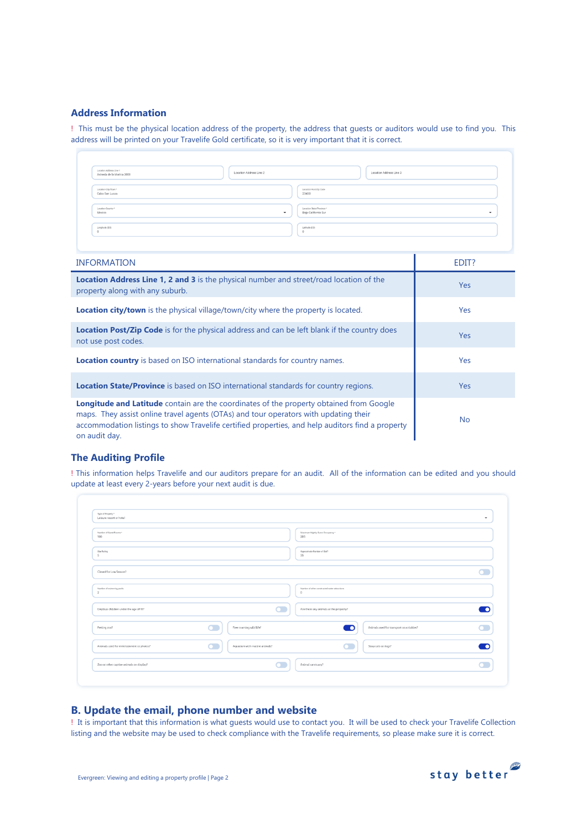### **Address Information**

! This must be the physical location address of the property, the address that guests or auditors would use to find you. This address will be printed on your Travelife Gold certificate, so it is very important that it is correct.

| Location Address Line 1<br>Location Address Line 2<br>Avineda de la Marina 2000 | Location Address Line 3   |
|---------------------------------------------------------------------------------|---------------------------|
| Location City/Town *                                                            | Location Post/Zip Code    |
| Cabo San Lucas                                                                  | 23400                     |
| Location Country *                                                              | Location State/Province * |
| Mexico                                                                          | Baja California Sur       |
| $\overline{\phantom{a}}$                                                        | $\tilde{\phantom{a}}$     |
| Longitude (DD)                                                                  | Latitude (DD)             |

| <b>INFORMATION</b>                                                                                                                                                                                                                                                                                          | EDIT?      |
|-------------------------------------------------------------------------------------------------------------------------------------------------------------------------------------------------------------------------------------------------------------------------------------------------------------|------------|
| <b>Location Address Line 1, 2 and 3</b> is the physical number and street/road location of the<br>property along with any suburb.                                                                                                                                                                           | <b>Yes</b> |
| <b>Location city/town</b> is the physical village/town/city where the property is located.                                                                                                                                                                                                                  | <b>Yes</b> |
| <b>Location Post/Zip Code</b> is for the physical address and can be left blank if the country does<br>not use post codes.                                                                                                                                                                                  | <b>Yes</b> |
| <b>Location country</b> is based on ISO international standards for country names.                                                                                                                                                                                                                          | Yes        |
| <b>Location State/Province</b> is based on ISO international standards for country regions.                                                                                                                                                                                                                 | <b>Yes</b> |
| <b>Longitude and Latitude</b> contain are the coordinates of the property obtained from Google<br>maps. They assist online travel agents (OTAs) and tour operators with updating their<br>accommodation listings to show Travelife certified properties, and help auditors find a property<br>on audit day. | <b>No</b>  |

## **The Auditing Profile**

! This information helps Travelife and our auditors prepare for an audit. All of the information can be edited and you should update at least every 2-years before your next audit is due.

| Type of Property *<br>Leisure resort or hotel |                               |                                                             | $\check{\phantom{a}}$ |
|-----------------------------------------------|-------------------------------|-------------------------------------------------------------|-----------------------|
| Number of Guest Rooms *<br>100                |                               | Maximum Nightly Guest Occupancy *<br>205                    |                       |
| Star Rating<br>$\overline{\phantom{a}}$       |                               | Approximate Number of Staff<br>35                           |                       |
| Closed for Low Season?                        |                               |                                                             |                       |
| Number of swimming pools<br>$\overline{2}$    |                               | Number of other constructed water attractions<br>$^{\circ}$ |                       |
| Employs children under the age of 18?         |                               | Are there any animals at the property?                      |                       |
| Petting 200?                                  | Free roaming wild life?       | Animals used for transport or activities?<br>n              |                       |
| Animals used for entertainment or photos?     | Aguarium with marine animals? | Stray cats or dogs?                                         |                       |
| Zoo or other captive animals on display?      |                               | Animal sanctuary?                                           |                       |

## <span id="page-1-0"></span>**B. Update the email, phone number and website**

! It is important that this information is what guests would use to contact you. It will be used to check your Travelife Collection listing and the website may be used to check compliance with the Travelife requirements, so please make sure it is correct.

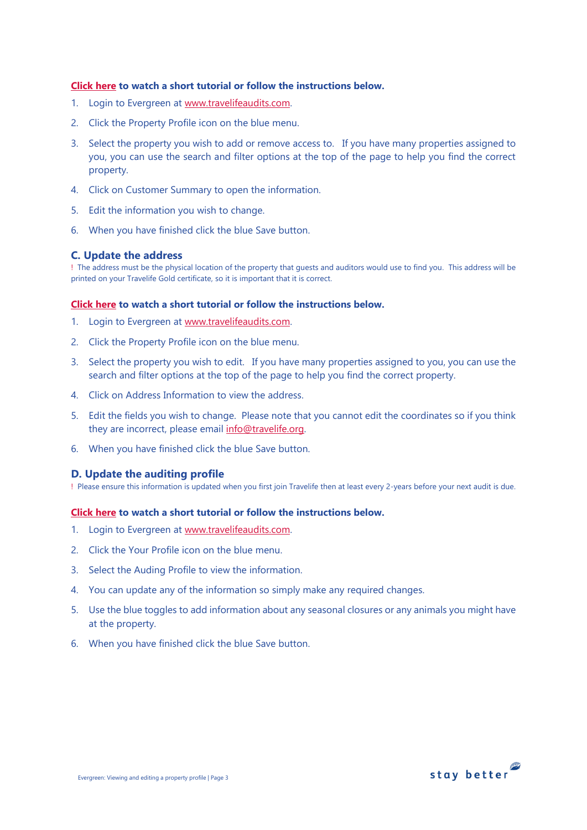## **[Click here](https://youtu.be/4esdsVkRpqw) to watch a short tutorial or follow the instructions below.**

- 1. Login to Evergreen at [www.travelifeaudits.com.](http://www.travelifeaudits.com/)
- 2. Click the Property Profile icon on the blue menu.
- 3. Select the property you wish to add or remove access to. If you have many properties assigned to you, you can use the search and filter options at the top of the page to help you find the correct property.
- 4. Click on Customer Summary to open the information.
- 5. Edit the information you wish to change.
- 6. When you have finished click the blue Save button.

# <span id="page-2-0"></span>**C. Update the address**

! The address must be the physical location of the property that guests and auditors would use to find you. This address will be printed on your Travelife Gold certificate, so it is important that it is correct.

### **[Click here](https://youtu.be/G7N-bieCQoI) to watch a short tutorial or follow the instructions below.**

- 1. Login to Evergreen at [www.travelifeaudits.com.](http://www.travelifeaudits.com/)
- 2. Click the Property Profile icon on the blue menu.
- 3. Select the property you wish to edit. If you have many properties assigned to you, you can use the search and filter options at the top of the page to help you find the correct property.
- 4. Click on Address Information to view the address.
- 5. Edit the fields you wish to change. Please note that you cannot edit the coordinates so if you think they are incorrect, please email [info@travelife.org.](mailto:info@travelife.org)
- 6. When you have finished click the blue Save button.

# <span id="page-2-1"></span>**D. Update the auditing profile**

! Please ensure this information is updated when you first join Travelife then at least every 2-years before your next audit is due.

### **[Click here](https://youtu.be/JLPEpxoO9QI) to watch a short tutorial or follow the instructions below.**

- 1. Login to Evergreen at [www.travelifeaudits.com.](http://www.travelifeaudits.com/)
- 2. Click the Your Profile icon on the blue menu.
- 3. Select the Auding Profile to view the information.
- 4. You can update any of the information so simply make any required changes.
- 5. Use the blue toggles to add information about any seasonal closures or any animals you might have at the property.
- 6. When you have finished click the blue Save button.

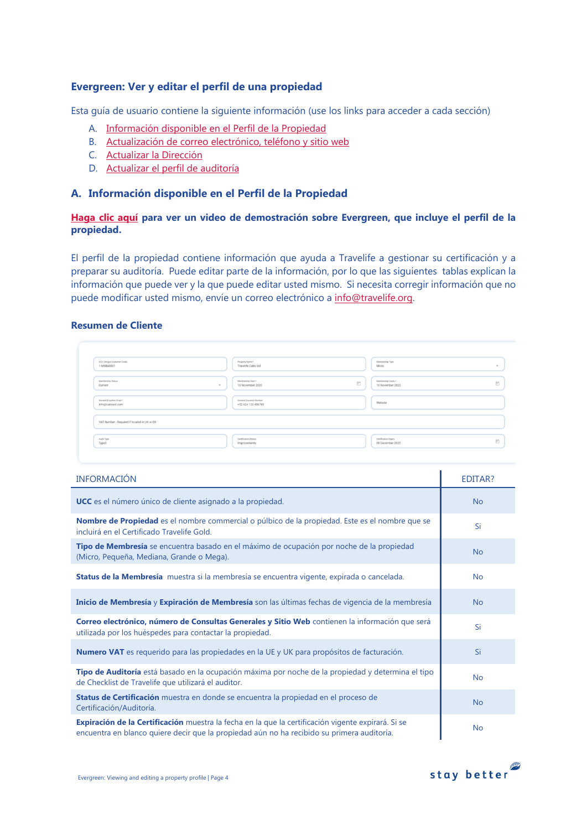# <span id="page-3-0"></span>**Evergreen: Ver y editar el perfil de una propiedad**

Esta guía de usuario contiene la siguiente información (use los links para acceder a cada sección)

- A. [Información disponible en el Perfil de la Propiedad](#page-3-1)
- B. [Actualización de correo electrónico, teléfono y sitio web](#page-4-0)
- C. [Actualizar la Dirección](#page-5-0)
- D. [Actualizar el perfil de auditoría](#page-5-1)

# <span id="page-3-1"></span>**A. Información disponible en el Perfil de la Propiedad**

# **[Haga clic aquí](https://youtu.be/uVvhNdIpB1o) para ver un video de demostración sobre Evergreen, que incluye el perfil de la propiedad.**

El perfil de la propiedad contiene información que ayuda a Travelife a gestionar su certificación y a preparar su auditoría. Puede editar parte de la información, por lo que las siguientes tablas explican la información que puede ver y la que puede editar usted mismo. Si necesita corregir información que no puede modificar usted mismo, envíe un correo electrónico a [info@travelife.org.](mailto:info@travelife.org)

### **Resumen de Cliente**

| UCC (Unique Oustomer Code)<br>1-MXBa0001      | Property Name *<br>Travelife Cabo Sol          |                                                           | Membership Type<br>Micro                 | $\;$                                   |
|-----------------------------------------------|------------------------------------------------|-----------------------------------------------------------|------------------------------------------|----------------------------------------|
| Membership Status<br>Current<br>$\sim$        | Membership Start*<br>10 November 2020          | $\left[\begin{smallmatrix} 1\\ 1\end{smallmatrix}\right]$ | Membership Expiry *<br>10 November 2022  | $\begin{bmatrix} 0 \\ 0 \end{bmatrix}$ |
| General Enquiries Email *<br>info@cabosol.com | General Enquiries Number<br>+52 624 123 456789 |                                                           | Website                                  |                                        |
| VAT Number - Required if located in UK or EU  |                                                |                                                           |                                          |                                        |
| Audit Type<br>Type3                           | Certification Status<br>Improvements           |                                                           | Certification Expiry<br>09 December 2022 | $\begin{bmatrix} 0 \\ 0 \end{bmatrix}$ |

| <b>INFORMACIÓN</b>                                                                                                                                                                               | EDITAR?   |
|--------------------------------------------------------------------------------------------------------------------------------------------------------------------------------------------------|-----------|
| <b>UCC</b> es el número único de cliente asignado a la propiedad.                                                                                                                                | <b>No</b> |
| Nombre de Propiedad es el nombre commercial o púlbico de la propiedad. Este es el nombre que se<br>incluirá en el Certificado Travelife Gold.                                                    | Si        |
| Tipo de Membresía se encuentra basado en el máximo de ocupación por noche de la propiedad<br>(Micro, Pequeña, Mediana, Grande o Mega).                                                           | <b>No</b> |
| Status de la Membresía muestra si la membresía se encuentra vigente, expirada o cancelada.                                                                                                       | <b>No</b> |
| Inicio de Membresía y Expiración de Membresía son las últimas fechas de vigencia de la membresía                                                                                                 | <b>No</b> |
| Correo electrónico, número de Consultas Generales y Sitio Web contienen la información que será<br>utilizada por los huéspedes para contactar la propiedad.                                      | Si        |
| Numero VAT es requerido para las propiedades en la UE y UK para propósitos de facturación.                                                                                                       | Si        |
| Tipo de Auditoría está basado en la ocupación máxima por noche de la propiedad y determina el tipo<br>de Checklist de Travelife que utilizará el auditor.                                        | <b>No</b> |
| Status de Certificación muestra en donde se encuentra la propiedad en el proceso de<br>Certificación/Auditoría.                                                                                  | <b>No</b> |
| Expiración de la Certificación muestra la fecha en la que la certificación vigente expirará. Si se<br>encuentra en blanco quiere decir que la propiedad aún no ha recibido su primera auditoría. | <b>No</b> |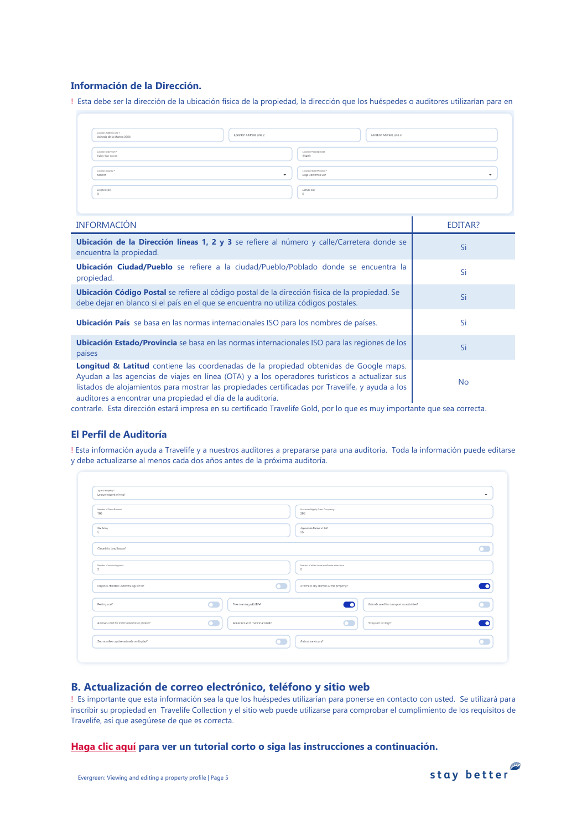## **Información de la Dirección.**

! Esta debe ser la dirección de la ubicación física de la propiedad, la dirección que los huéspedes o auditores utilizarían para en

| Location Address Line 1<br>Avineda de la Marina 2000 | Location Address Line 2 |                                                  | Location Address Line 3 |
|------------------------------------------------------|-------------------------|--------------------------------------------------|-------------------------|
| Location City/Town *<br>Cabo San Lucas               |                         | Location Post/Zip Code<br>23400                  |                         |
| Location Country *<br>Mexico                         | $\cdot$                 | Location State/Province *<br>Baja California Sur | $\cdot$                 |
| Longitude (DD)                                       |                         | Latitude (DD)                                    |                         |

| <b>INFORMACIÓN</b>                                                                                                                                                                                                                                                                                                                                       | EDITAR?   |
|----------------------------------------------------------------------------------------------------------------------------------------------------------------------------------------------------------------------------------------------------------------------------------------------------------------------------------------------------------|-----------|
| Ubicación de la Dirección líneas 1, 2 y 3 se refiere al número y calle/Carretera donde se<br>encuentra la propiedad.                                                                                                                                                                                                                                     | Si        |
| Ubicación Ciudad/Pueblo se refiere a la ciudad/Pueblo/Poblado donde se encuentra la<br>propiedad.                                                                                                                                                                                                                                                        | Si        |
| <b>Ubicación Código Postal</b> se refiere al código postal de la dirección física de la propiedad. Se<br>debe dejar en blanco si el país en el que se encuentra no utiliza códigos postales.                                                                                                                                                             | Si        |
| Ubicación País se basa en las normas internacionales ISO para los nombres de países.                                                                                                                                                                                                                                                                     | Si        |
| Ubicación Estado/Provincia se basa en las normas internacionales ISO para las regiones de los<br>países                                                                                                                                                                                                                                                  | Si        |
| Longitud & Latitud contiene las coordenadas de la propiedad obtenidas de Google maps.<br>Ayudan a las agencias de viajes en línea (OTA) y a los operadores turísticos a actualizar sus<br>listados de alojamientos para mostrar las propiedades certificadas por Travelife, y ayuda a los<br>auditores a encontrar una propiedad el día de la auditoría. | <b>No</b> |

contrarle. Esta dirección estará impresa en su certificado Travelife Gold, por lo que es muy importante que sea correcta.

#### **El Perfil de Auditoría**

! Esta información ayuda a Travelife y a nuestros auditores a prepararse para una auditoría. Toda la información puede editarse y debe actualizarse al menos cada dos años antes de la próxima auditoría.

| Type of Property *<br>Leisure resort or hotel |             |                               |                                                             |                                           |  |
|-----------------------------------------------|-------------|-------------------------------|-------------------------------------------------------------|-------------------------------------------|--|
| Number of Guest Rooms *<br>100                |             |                               | Maximum Nightly Guest Occupancy *<br>205                    |                                           |  |
| Star Rating<br>$\overline{\phantom{a}}$       |             |                               | Approximate Number of Staff<br>35                           |                                           |  |
| Closed for Low Season?                        |             |                               |                                                             |                                           |  |
| Number of swimming pools<br>$\overline{2}$    |             |                               | Number of other constructed water attractions<br>$^{\circ}$ |                                           |  |
| Employs children under the age of 18?         |             |                               | Are there any animals at the property?                      |                                           |  |
| Petting 200?                                  | <b>a</b> 1  | Free roaming wild life?       | −∩                                                          | Animals used for transport or activities? |  |
| Animals used for entertainment or photos?     | $\mathbf C$ | Aquarium with marine animals? |                                                             | Stray cats or dogs?                       |  |
| Zoo or other captive animals on display?      |             |                               | Animal sanctuary?                                           |                                           |  |

# <span id="page-4-0"></span>**B. Actualización de correo electrónico, teléfono y sitio web**

! Es importante que esta información sea la que los huéspedes utilizarían para ponerse en contacto con usted. Se utilizará para inscribir su propiedad en Travelife Collection y el sitio web puede utilizarse para comprobar el cumplimiento de los requisitos de Travelife, así que asegúrese de que es correcta.

#### **[Haga clic aquí](https://youtu.be/4esdsVkRpqw) para ver un tutorial corto o siga las instrucciones a continuación.**